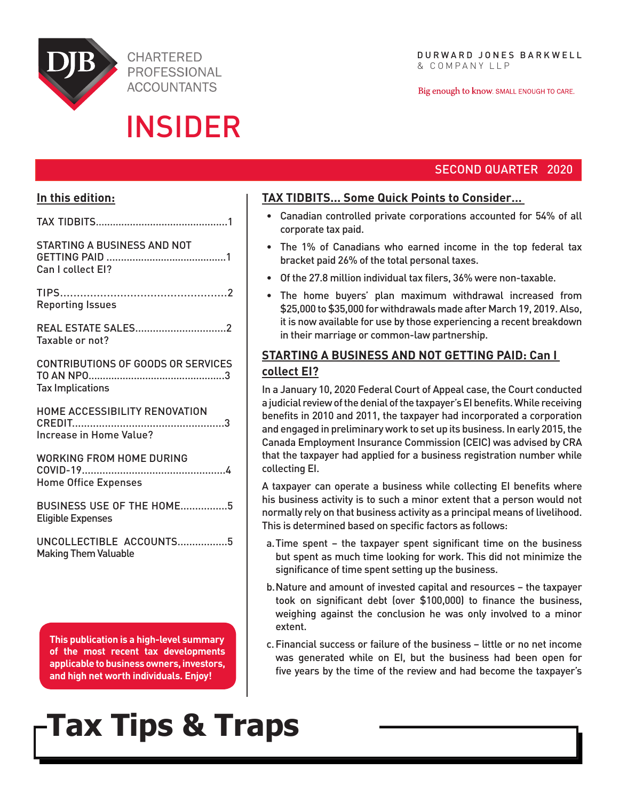

**CHARTERED PROFESSIONAL ACCOUNTANTS** 

## INSIDER

Big enough to know. SMALL ENOUGH TO CARE.

## SECOND QUARTER 2020

## **In this edition:**

| <b>STARTING A BUSINESS AND NOT</b><br>Can I collect EI?              |
|----------------------------------------------------------------------|
| <b>Reporting Issues</b>                                              |
| REAL ESTATE SALES2<br>Taxable or not?                                |
| <b>CONTRIBUTIONS OF GOODS OR SERVICES</b><br><b>Tax Implications</b> |
| HOME ACCESSIBILITY RENOVATION<br>Increase in Home Value?             |
| <b>WORKING FROM HOME DURING</b><br><b>Home Office Expenses</b>       |
| BUSINESS USE OF THE HOME5<br><b>Eligible Expenses</b>                |
| UNCOLLECTIBLE ACCOUNTS5<br><b>Making Them Valuable</b>               |
|                                                                      |

**This publication is a high-level summary of the most recent tax developments applicable to business owners, investors, and high net worth individuals. Enjoy!** 

# **Tax Tips & Traps**

## **TAX TIDBITS... Some Quick Points to Consider…**

- • Canadian controlled private corporations accounted for 54% of all corporate tax paid.
- The 1% of Canadians who earned income in the top federal tax bracket paid 26% of the total personal taxes.
- • Of the 27.8 million individual tax filers, 36% were non-taxable.
- The home buyers' plan maximum withdrawal increased from \$25,000 to \$35,000 for withdrawals made after March 19, 2019. Also, it is now available for use by those experiencing a recent breakdown in their marriage or common-law partnership.

## **STARTING A BUSINESS AND NOT GETTING PAID: Can I collect EI?**

In a January 10, 2020 Federal Court of Appeal case, the Court conducted a judicial review of the denial of the taxpayer's EI benefits. While receiving benefits in 2010 and 2011, the taxpayer had incorporated a corporation and engaged in preliminary work to set up its business. In early 2015, the Canada Employment Insurance Commission (CEIC) was advised by CRA that the taxpayer had applied for a business registration number while collecting EI.

A taxpayer can operate a business while collecting EI benefits where his business activity is to such a minor extent that a person would not normally rely on that business activity as a principal means of livelihood. This is determined based on specific factors as follows:

- a.Time spent the taxpayer spent significant time on the business but spent as much time looking for work. This did not minimize the significance of time spent setting up the business.
- b.Nature and amount of invested capital and resources the taxpayer took on significant debt (over \$100,000) to finance the business, weighing against the conclusion he was only involved to a minor extent.
- c.Financial success or failure of the business little or no net income was generated while on EI, but the business had been open for five years by the time of the review and had become the taxpayer's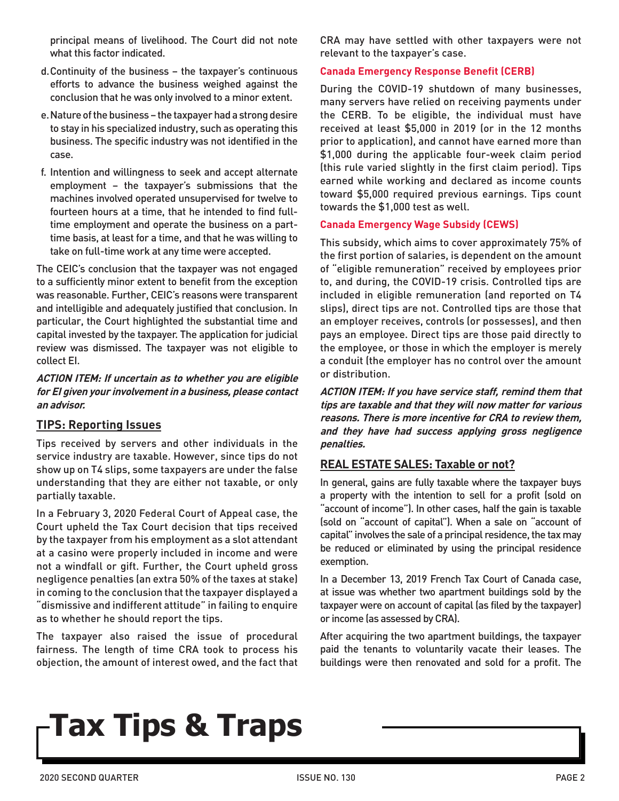principal means of livelihood. The Court did not note what this factor indicated.

- d.Continuity of the business the taxpayer's continuous efforts to advance the business weighed against the conclusion that he was only involved to a minor extent.
- e.Nature of the business the taxpayer had a strong desire to stay in his specialized industry, such as operating this business. The specific industry was not identified in the case.
- f. Intention and willingness to seek and accept alternate employment – the taxpayer's submissions that the machines involved operated unsupervised for twelve to fourteen hours at a time, that he intended to find fulltime employment and operate the business on a parttime basis, at least for a time, and that he was willing to take on full-time work at any time were accepted.

The CEIC's conclusion that the taxpayer was not engaged to a sufficiently minor extent to benefit from the exception was reasonable. Further, CEIC's reasons were transparent and intelligible and adequately justified that conclusion. In particular, the Court highlighted the substantial time and capital invested by the taxpayer. The application for judicial review was dismissed. The taxpayer was not eligible to collect EI.

#### **ACTION ITEM: If uncertain as to whether you are eligible for EI given your involvement in a business, please contact an advisor.**

#### **TIPS: Reporting Issues**

Tips received by servers and other individuals in the service industry are taxable. However, since tips do not show up on T4 slips, some taxpayers are under the false understanding that they are either not taxable, or only partially taxable.

In a February 3, 2020 Federal Court of Appeal case, the Court upheld the Tax Court decision that tips received by the taxpayer from his employment as a slot attendant at a casino were properly included in income and were not a windfall or gift. Further, the Court upheld gross negligence penalties (an extra 50% of the taxes at stake) in coming to the conclusion that the taxpayer displayed a "dismissive and indifferent attitude" in failing to enquire as to whether he should report the tips.

The taxpayer also raised the issue of procedural fairness. The length of time CRA took to process his objection, the amount of interest owed, and the fact that CRA may have settled with other taxpayers were not relevant to the taxpayer's case.

#### **Canada Emergency Response Benefit (CERB)**

During the COVID-19 shutdown of many businesses, many servers have relied on receiving payments under the CERB. To be eligible, the individual must have received at least \$5,000 in 2019 (or in the 12 months prior to application), and cannot have earned more than \$1,000 during the applicable four-week claim period (this rule varied slightly in the first claim period). Tips earned while working and declared as income counts toward \$5,000 required previous earnings. Tips count towards the \$1,000 test as well.

#### **Canada Emergency Wage Subsidy (CEWS)**

This subsidy, which aims to cover approximately 75% of the first portion of salaries, is dependent on the amount of "eligible remuneration" received by employees prior to, and during, the COVID-19 crisis. Controlled tips are included in eligible remuneration (and reported on T4 slips), direct tips are not. Controlled tips are those that an employer receives, controls (or possesses), and then pays an employee. Direct tips are those paid directly to the employee, or those in which the employer is merely a conduit (the employer has no control over the amount or distribution.

**ACTION ITEM: If you have service staff, remind them that tips are taxable and that they will now matter for various reasons. There is more incentive for CRA to review them, and they have had success applying gross negligence penalties.**

## **REAL ESTATE SALES: Taxable or not?**

In general, gains are fully taxable where the taxpayer buys a property with the intention to sell for a profit (sold on "account of income"). In other cases, half the gain is taxable (sold on "account of capital"). When a sale on "account of capital" involves the sale of a principal residence, the tax may be reduced or eliminated by using the principal residence exemption.

In a December 13, 2019 French Tax Court of Canada case, at issue was whether two apartment buildings sold by the taxpayer were on account of capital (as filed by the taxpayer) or income (as assessed by CRA).

After acquiring the two apartment buildings, the taxpayer paid the tenants to voluntarily vacate their leases. The buildings were then renovated and sold for a profit. The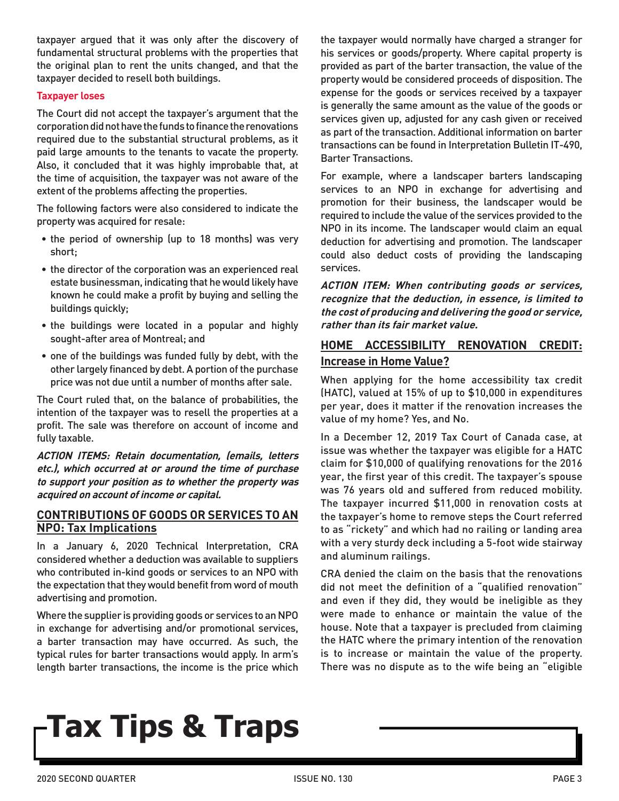taxpayer argued that it was only after the discovery of fundamental structural problems with the properties that the original plan to rent the units changed, and that the taxpayer decided to resell both buildings.

#### **Taxpayer loses**

The Court did not accept the taxpayer's argument that the corporation did not have the funds to finance the renovations required due to the substantial structural problems, as it paid large amounts to the tenants to vacate the property. Also, it concluded that it was highly improbable that, at the time of acquisition, the taxpayer was not aware of the extent of the problems affecting the properties.

The following factors were also considered to indicate the property was acquired for resale:

- the period of ownership (up to 18 months) was very short;
- the director of the corporation was an experienced real estate businessman, indicating that he would likely have known he could make a profit by buying and selling the buildings quickly;
- the buildings were located in a popular and highly sought-after area of Montreal; and
- one of the buildings was funded fully by debt, with the other largely financed by debt. A portion of the purchase price was not due until a number of months after sale.

The Court ruled that, on the balance of probabilities, the intention of the taxpayer was to resell the properties at a profit. The sale was therefore on account of income and fully taxable.

**ACTION ITEMS: Retain documentation, (emails, letters etc.), which occurred at or around the time of purchase to support your position as to whether the property was acquired on account of income or capital.**

#### **CONTRIBUTIONS OF GOODS OR SERVICES TO AN NPO: Tax Implications**

In a January 6, 2020 Technical Interpretation, CRA considered whether a deduction was available to suppliers who contributed in-kind goods or services to an NPO with the expectation that they would benefit from word of mouth advertising and promotion.

Where the supplier is providing goods or services to an NPO in exchange for advertising and/or promotional services, a barter transaction may have occurred. As such, the typical rules for barter transactions would apply. In arm's length barter transactions, the income is the price which the taxpayer would normally have charged a stranger for his services or goods/property. Where capital property is provided as part of the barter transaction, the value of the property would be considered proceeds of disposition. The expense for the goods or services received by a taxpayer is generally the same amount as the value of the goods or services given up, adjusted for any cash given or received as part of the transaction. Additional information on barter transactions can be found in Interpretation Bulletin IT-490, Barter Transactions.

For example, where a landscaper barters landscaping services to an NPO in exchange for advertising and promotion for their business, the landscaper would be required to include the value of the services provided to the NPO in its income. The landscaper would claim an equal deduction for advertising and promotion. The landscaper could also deduct costs of providing the landscaping services.

**ACTION ITEM: When contributing goods or services, recognize that the deduction, in essence, is limited to the cost of producing and delivering the good or service, rather than its fair market value.**

## **HOME ACCESSIBILITY RENOVATION CREDIT: Increase in Home Value?**

When applying for the home accessibility tax credit (HATC), valued at 15% of up to \$10,000 in expenditures per year, does it matter if the renovation increases the value of my home? Yes, and No.

In a December 12, 2019 Tax Court of Canada case, at issue was whether the taxpayer was eligible for a HATC claim for \$10,000 of qualifying renovations for the 2016 year, the first year of this credit. The taxpayer's spouse was 76 years old and suffered from reduced mobility. The taxpayer incurred \$11,000 in renovation costs at the taxpayer's home to remove steps the Court referred to as "rickety" and which had no railing or landing area with a very sturdy deck including a 5-foot wide stairway and aluminum railings.

CRA denied the claim on the basis that the renovations did not meet the definition of a "qualified renovation" and even if they did, they would be ineligible as they were made to enhance or maintain the value of the house. Note that a taxpayer is precluded from claiming the HATC where the primary intention of the renovation is to increase or maintain the value of the property. There was no dispute as to the wife being an "eligible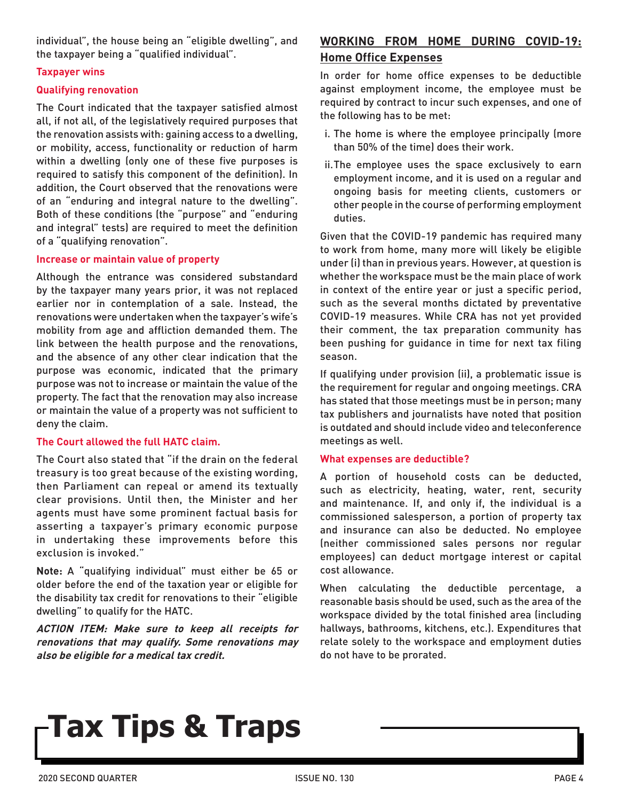individual", the house being an "eligible dwelling", and the taxpayer being a "qualified individual".

#### **Taxpayer wins**

#### **Qualifying renovation**

The Court indicated that the taxpayer satisfied almost all, if not all, of the legislatively required purposes that the renovation assists with: gaining access to a dwelling, or mobility, access, functionality or reduction of harm within a dwelling (only one of these five purposes is required to satisfy this component of the definition). In addition, the Court observed that the renovations were of an "enduring and integral nature to the dwelling". Both of these conditions (the "purpose" and "enduring and integral" tests) are required to meet the definition of a "qualifying renovation".

#### **Increase or maintain value of property**

Although the entrance was considered substandard by the taxpayer many years prior, it was not replaced earlier nor in contemplation of a sale. Instead, the renovations were undertaken when the taxpayer's wife's mobility from age and affliction demanded them. The link between the health purpose and the renovations, and the absence of any other clear indication that the purpose was economic, indicated that the primary purpose was not to increase or maintain the value of the property. The fact that the renovation may also increase or maintain the value of a property was not sufficient to deny the claim.

#### **The Court allowed the full HATC claim.**

The Court also stated that "if the drain on the federal treasury is too great because of the existing wording, then Parliament can repeal or amend its textually clear provisions. Until then, the Minister and her agents must have some prominent factual basis for asserting a taxpayer's primary economic purpose in undertaking these improvements before this exclusion is invoked."

**Note:** A "qualifying individual" must either be 65 or older before the end of the taxation year or eligible for the disability tax credit for renovations to their "eligible dwelling" to qualify for the HATC.

**ACTION ITEM: Make sure to keep all receipts for renovations that may qualify. Some renovations may also be eligible for a medical tax credit.** 

## **WORKING FROM HOME DURING COVID-19: Home Office Expenses**

In order for home office expenses to be deductible against employment income, the employee must be required by contract to incur such expenses, and one of the following has to be met:

- i. The home is where the employee principally (more than 50% of the time) does their work.
- ii.The employee uses the space exclusively to earn employment income, and it is used on a regular and ongoing basis for meeting clients, customers or other people in the course of performing employment duties.

Given that the COVID-19 pandemic has required many to work from home, many more will likely be eligible under (i) than in previous years. However, at question is whether the workspace must be the main place of work in context of the entire year or just a specific period, such as the several months dictated by preventative COVID-19 measures. While CRA has not yet provided their comment, the tax preparation community has been pushing for guidance in time for next tax filing season.

If qualifying under provision (ii), a problematic issue is the requirement for regular and ongoing meetings. CRA has stated that those meetings must be in person; many tax publishers and journalists have noted that position is outdated and should include video and teleconference meetings as well.

#### **What expenses are deductible?**

A portion of household costs can be deducted, such as electricity, heating, water, rent, security and maintenance. If, and only if, the individual is a commissioned salesperson, a portion of property tax and insurance can also be deducted. No employee (neither commissioned sales persons nor regular employees) can deduct mortgage interest or capital cost allowance.

When calculating the deductible percentage, a reasonable basis should be used, such as the area of the workspace divided by the total finished area (including hallways, bathrooms, kitchens, etc.). Expenditures that relate solely to the workspace and employment duties do not have to be prorated.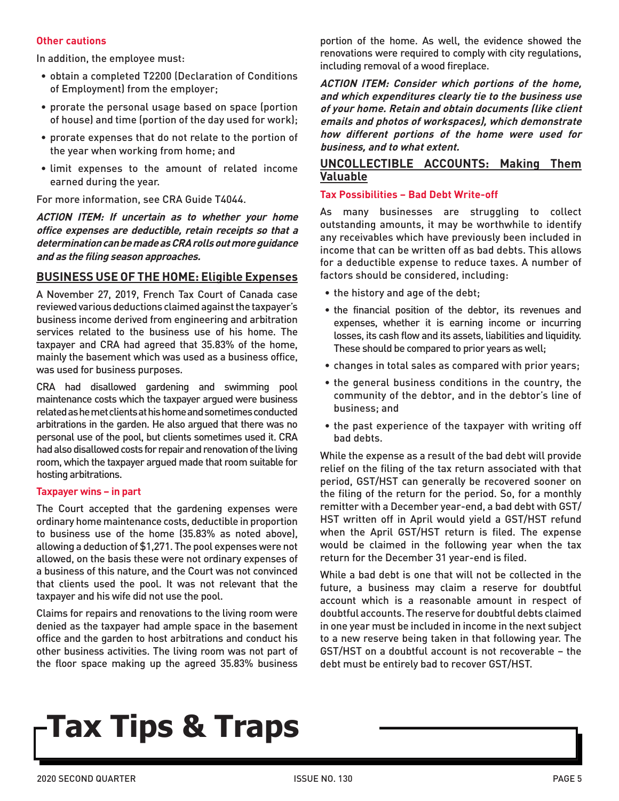#### **Other cautions**

In addition, the employee must:

- • obtain a completed T2200 (Declaration of Conditions of Employment) from the employer;
- prorate the personal usage based on space (portion of house) and time (portion of the day used for work);
- • prorate expenses that do not relate to the portion of the year when working from home; and
- • limit expenses to the amount of related income earned during the year.

For more information, see CRA Guide T4044.

**ACTION ITEM: If uncertain as to whether your home office expenses are deductible, retain receipts so that a determination can be made as CRA rolls out more guidance and as the filing season approaches.**

## **BUSINESS USE OF THE HOME: Eligible Expenses**

A November 27, 2019, French Tax Court of Canada case reviewed various deductions claimed against the taxpayer's business income derived from engineering and arbitration services related to the business use of his home. The taxpayer and CRA had agreed that 35.83% of the home, mainly the basement which was used as a business office, was used for business purposes.

CRA had disallowed gardening and swimming pool maintenance costs which the taxpayer argued were business related as he met clients at his home and sometimes conducted arbitrations in the garden. He also argued that there was no personal use of the pool, but clients sometimes used it. CRA had also disallowed costs for repair and renovation of the living room, which the taxpayer argued made that room suitable for hosting arbitrations.

#### **Taxpayer wins – in part**

The Court accepted that the gardening expenses were ordinary home maintenance costs, deductible in proportion to business use of the home (35.83% as noted above), allowing a deduction of \$1,271. The pool expenses were not allowed, on the basis these were not ordinary expenses of a business of this nature, and the Court was not convinced that clients used the pool. It was not relevant that the taxpayer and his wife did not use the pool.

Claims for repairs and renovations to the living room were denied as the taxpayer had ample space in the basement office and the garden to host arbitrations and conduct his other business activities. The living room was not part of the floor space making up the agreed 35.83% business

portion of the home. As well, the evidence showed the renovations were required to comply with city regulations, including removal of a wood fireplace.

**ACTION ITEM: Consider which portions of the home, and which expenditures clearly tie to the business use of your home. Retain and obtain documents (like client emails and photos of workspaces), which demonstrate how different portions of the home were used for business, and to what extent.**

### **UNCOLLECTIBLE ACCOUNTS: Making Them Valuable**

### **Tax Possibilities – Bad Debt Write-off**

As many businesses are struggling to collect outstanding amounts, it may be worthwhile to identify any receivables which have previously been included in income that can be written off as bad debts. This allows for a deductible expense to reduce taxes. A number of factors should be considered, including:

- the history and age of the debt;
- the financial position of the debtor, its revenues and expenses, whether it is earning income or incurring losses, its cash flow and its assets, liabilities and liquidity. These should be compared to prior years as well;
- • changes in total sales as compared with prior years;
- the general business conditions in the country, the community of the debtor, and in the debtor's line of business; and
- the past experience of the taxpayer with writing off bad debts.

While the expense as a result of the bad debt will provide relief on the filing of the tax return associated with that period, GST/HST can generally be recovered sooner on the filing of the return for the period. So, for a monthly remitter with a December year-end, a bad debt with GST/ HST written off in April would yield a GST/HST refund when the April GST/HST return is filed. The expense would be claimed in the following year when the tax return for the December 31 year-end is filed.

While a bad debt is one that will not be collected in the future, a business may claim a reserve for doubtful account which is a reasonable amount in respect of doubtful accounts. The reserve for doubtful debts claimed in one year must be included in income in the next subject to a new reserve being taken in that following year. The GST/HST on a doubtful account is not recoverable – the debt must be entirely bad to recover GST/HST.